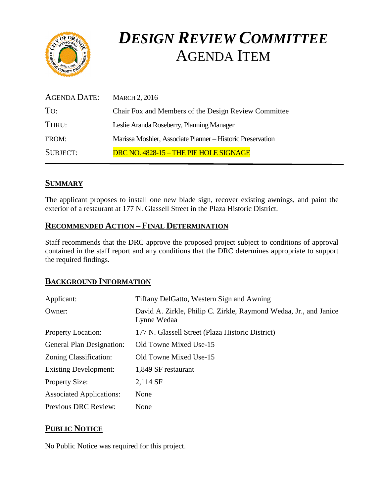

# *DESIGN REVIEW COMMITTEE*  AGENDA ITEM

| AGENDA DATE:    | <b>MARCH 2, 2016</b>                                       |
|-----------------|------------------------------------------------------------|
| To:             | Chair Fox and Members of the Design Review Committee       |
| THRU:           | Leslie Aranda Roseberry, Planning Manager                  |
| FROM:           | Marissa Moshier, Associate Planner - Historic Preservation |
| <b>SUBJECT:</b> | DRC NO. 4828-15 - THE PIE HOLE SIGNAGE                     |

# **SUMMARY**

The applicant proposes to install one new blade sign, recover existing awnings, and paint the exterior of a restaurant at 177 N. Glassell Street in the Plaza Historic District.

#### **RECOMMENDED ACTION – FINAL DETERMINATION**

Staff recommends that the DRC approve the proposed project subject to conditions of approval contained in the staff report and any conditions that the DRC determines appropriate to support the required findings.

#### **BACKGROUND INFORMATION**

| Applicant:                       | Tiffany DelGatto, Western Sign and Awning                                        |
|----------------------------------|----------------------------------------------------------------------------------|
| Owner:                           | David A. Zirkle, Philip C. Zirkle, Raymond Wedaa, Jr., and Janice<br>Lynne Wedaa |
| <b>Property Location:</b>        | 177 N. Glassell Street (Plaza Historic District)                                 |
| <b>General Plan Designation:</b> | Old Towne Mixed Use-15                                                           |
| Zoning Classification:           | Old Towne Mixed Use-15                                                           |
| <b>Existing Development:</b>     | 1,849 SF restaurant                                                              |
| <b>Property Size:</b>            | 2,114 SF                                                                         |
| <b>Associated Applications:</b>  | None                                                                             |
| Previous DRC Review:             | None                                                                             |

# **PUBLIC NOTICE**

No Public Notice was required for this project.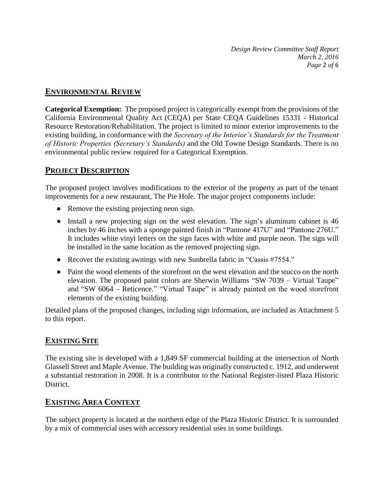*Design Review Committee Staff Report March 2, 2016 Page* 2 *of* 6

#### **ENVIRONMENTAL REVIEW**

**Categorical Exemption:** The proposed project is categorically exempt from the provisions of the California Environmental Quality Act (CEQA) per State CEQA Guidelines 15331 - Historical Resource Restoration/Rehabilitation. The project is limited to minor exterior improvements to the existing building, in conformance with the *Secretary of the Interior's Standards for the Treatment of Historic Properties (Secretary's Standards)* and the Old Towne Design Standards. There is no environmental public review required for a Categorical Exemption.

# **PROJECT DESCRIPTION**

The proposed project involves modifications to the exterior of the property as part of the tenant improvements for a new restaurant, The Pie Hole. The major project components include:

- Remove the existing projecting neon sign.
- Install a new projecting sign on the west elevation. The sign's aluminum cabinet is 46 inches by 46 inches with a sponge painted finish in "Pantone 417U" and "Pantone 276U." It includes white vinyl letters on the sign faces with white and purple neon. The sign will be installed in the same location as the removed projecting sign.
- Recover the existing awnings with new Sunbrella fabric in "Cassis #7554."
- Paint the wood elements of the storefront on the west elevation and the stucco on the north elevation. The proposed paint colors are Sherwin Williams "SW 7039 – Virtual Taupe" and "SW 6064 – Reticence." "Virtual Taupe" is already painted on the wood storefront elements of the existing building.

Detailed plans of the proposed changes, including sign information, are included as Attachment 5 to this report.

# **EXISTING SITE**

The existing site is developed with a 1,849 SF commercial building at the intersection of North Glassell Street and Maple Avenue. The building was originally constructed c. 1912, and underwent a substantial restoration in 2008. It is a contributor to the National Register-listed Plaza Historic **District** 

# **EXISTING AREA CONTEXT**

The subject property is located at the northern edge of the Plaza Historic District. It is surrounded by a mix of commercial uses with accessory residential uses in some buildings.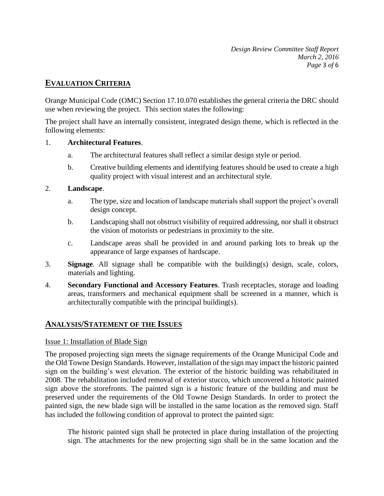*Design Review Committee Staff Report March 2, 2016 Page* 3 *of* 6

### **EVALUATION CRITERIA**

Orange Municipal Code (OMC) Section 17.10.070 establishes the general criteria the DRC should use when reviewing the project. This section states the following:

The project shall have an internally consistent, integrated design theme, which is reflected in the following elements:

#### 1. **Architectural Features**.

- a. The architectural features shall reflect a similar design style or period.
- b. Creative building elements and identifying features should be used to create a high quality project with visual interest and an architectural style.

#### 2. **Landscape**.

- a. The type, size and location of landscape materials shall support the project's overall design concept.
- b. Landscaping shall not obstruct visibility of required addressing, nor shall it obstruct the vision of motorists or pedestrians in proximity to the site.
- c. Landscape areas shall be provided in and around parking lots to break up the appearance of large expanses of hardscape.
- 3. **Signage**. All signage shall be compatible with the building(s) design, scale, colors, materials and lighting.
- 4. **Secondary Functional and Accessory Features**. Trash receptacles, storage and loading areas, transformers and mechanical equipment shall be screened in a manner, which is architecturally compatible with the principal building(s).

#### **ANALYSIS/STATEMENT OF THE ISSUES**

#### Issue 1: Installation of Blade Sign

The proposed projecting sign meets the signage requirements of the Orange Municipal Code and the Old Towne Design Standards. However, installation of the sign may impact the historic painted sign on the building's west elevation. The exterior of the historic building was rehabilitated in 2008. The rehabilitation included removal of exterior stucco, which uncovered a historic painted sign above the storefronts. The painted sign is a historic feature of the building and must be preserved under the requirements of the Old Towne Design Standards. In order to protect the painted sign, the new blade sign will be installed in the same location as the removed sign. Staff has included the following condition of approval to protect the painted sign:

The historic painted sign shall be protected in place during installation of the projecting sign. The attachments for the new projecting sign shall be in the same location and the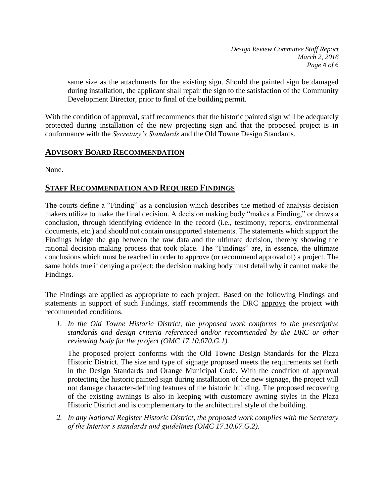*Design Review Committee Staff Report March 2, 2016 Page* 4 *of* 6

same size as the attachments for the existing sign. Should the painted sign be damaged during installation, the applicant shall repair the sign to the satisfaction of the Community Development Director, prior to final of the building permit.

With the condition of approval, staff recommends that the historic painted sign will be adequately protected during installation of the new projecting sign and that the proposed project is in conformance with the *Secretary's Standards* and the Old Towne Design Standards.

#### **ADVISORY BOARD RECOMMENDATION**

None.

# **STAFF RECOMMENDATION AND REQUIRED FINDINGS**

The courts define a "Finding" as a conclusion which describes the method of analysis decision makers utilize to make the final decision. A decision making body "makes a Finding," or draws a conclusion, through identifying evidence in the record (i.e., testimony, reports, environmental documents, etc.) and should not contain unsupported statements. The statements which support the Findings bridge the gap between the raw data and the ultimate decision, thereby showing the rational decision making process that took place. The "Findings" are, in essence, the ultimate conclusions which must be reached in order to approve (or recommend approval of) a project. The same holds true if denying a project; the decision making body must detail why it cannot make the Findings.

The Findings are applied as appropriate to each project. Based on the following Findings and statements in support of such Findings, staff recommends the DRC approve the project with recommended conditions.

*1. In the Old Towne Historic District, the proposed work conforms to the prescriptive standards and design criteria referenced and/or recommended by the DRC or other reviewing body for the project (OMC 17.10.070.G.1).*

The proposed project conforms with the Old Towne Design Standards for the Plaza Historic District. The size and type of signage proposed meets the requirements set forth in the Design Standards and Orange Municipal Code. With the condition of approval protecting the historic painted sign during installation of the new signage, the project will not damage character-defining features of the historic building. The proposed recovering of the existing awnings is also in keeping with customary awning styles in the Plaza Historic District and is complementary to the architectural style of the building.

*2. In any National Register Historic District, the proposed work complies with the Secretary of the Interior's standards and guidelines (OMC 17.10.07.G.2).*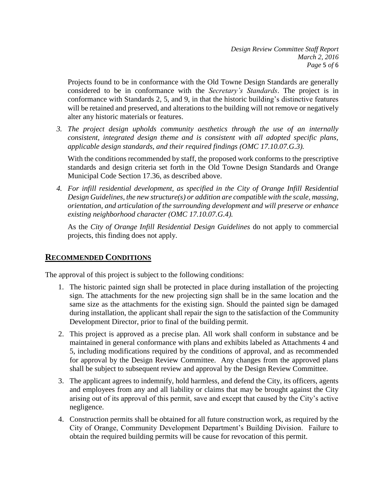Projects found to be in conformance with the Old Towne Design Standards are generally considered to be in conformance with the *Secretary's Standards*. The project is in conformance with Standards 2, 5, and 9, in that the historic building's distinctive features will be retained and preserved, and alterations to the building will not remove or negatively alter any historic materials or features.

*3. The project design upholds community aesthetics through the use of an internally consistent, integrated design theme and is consistent with all adopted specific plans, applicable design standards, and their required findings (OMC 17.10.07.G.3).*

With the conditions recommended by staff, the proposed work conforms to the prescriptive standards and design criteria set forth in the Old Towne Design Standards and Orange Municipal Code Section 17.36, as described above.

*4. For infill residential development, as specified in the City of Orange Infill Residential Design Guidelines, the new structure(s) or addition are compatible with the scale, massing, orientation, and articulation of the surrounding development and will preserve or enhance existing neighborhood character (OMC 17.10.07.G.4).*

As the *City of Orange Infill Residential Design Guidelines* do not apply to commercial projects, this finding does not apply.

# **RECOMMENDED CONDITIONS**

The approval of this project is subject to the following conditions:

- 1. The historic painted sign shall be protected in place during installation of the projecting sign. The attachments for the new projecting sign shall be in the same location and the same size as the attachments for the existing sign. Should the painted sign be damaged during installation, the applicant shall repair the sign to the satisfaction of the Community Development Director, prior to final of the building permit.
- 2. This project is approved as a precise plan. All work shall conform in substance and be maintained in general conformance with plans and exhibits labeled as Attachments 4 and 5, including modifications required by the conditions of approval, and as recommended for approval by the Design Review Committee. Any changes from the approved plans shall be subject to subsequent review and approval by the Design Review Committee.
- 3. The applicant agrees to indemnify, hold harmless, and defend the City, its officers, agents and employees from any and all liability or claims that may be brought against the City arising out of its approval of this permit, save and except that caused by the City's active negligence.
- 4. Construction permits shall be obtained for all future construction work, as required by the City of Orange, Community Development Department's Building Division. Failure to obtain the required building permits will be cause for revocation of this permit.